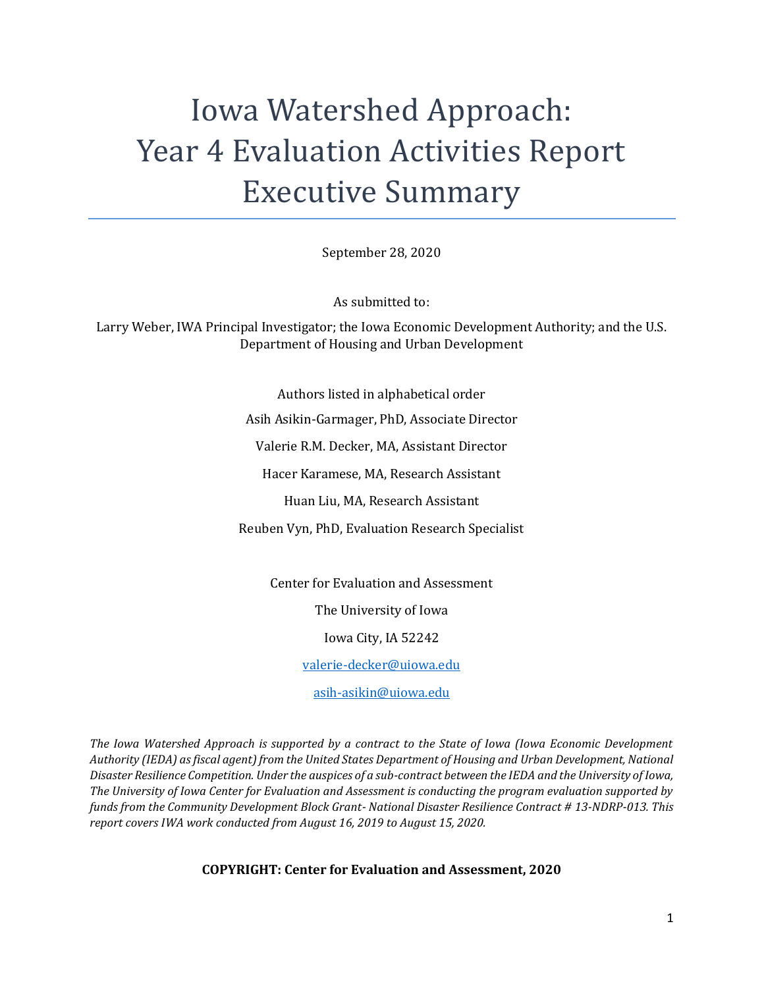# Iowa Watershed Approach: Year 4 Evaluation Activities Report Executive Summary

September 28, 2020

As submitted to:

Larry Weber, IWA Principal Investigator; the Iowa Economic Development Authority; and the U.S. Department of Housing and Urban Development

> Authors listed in alphabetical order Asih Asikin-Garmager, PhD, Associate Director Valerie R.M. Decker, MA, Assistant Director Hacer Karamese, MA, Research Assistant Huan Liu, MA, Research Assistant Reuben Vyn, PhD, Evaluation Research Specialist

> > Center for Evaluation and Assessment

The University of Iowa

Iowa City, IA 52242

[valerie-decker@uiowa.edu](mailto:valerie-decker@uiowa.edu)

[asih-asikin@uiowa.edu](mailto:asih-asikin@uiowa.edu)

*The Iowa Watershed Approach is supported by a contract to the State of Iowa (Iowa Economic Development Authority (IEDA) as fiscal agent) from the United States Department of Housing and Urban Development, National Disaster Resilience Competition. Under the auspices of a sub-contract between the IEDA and the University of Iowa, The University of Iowa Center for Evaluation and Assessment is conducting the program evaluation supported by funds from the Community Development Block Grant- National Disaster Resilience Contract # 13-NDRP-013. This report covers IWA work conducted from August 16, 2019 to August 15, 2020.*

**COPYRIGHT: Center for Evaluation and Assessment, 2020**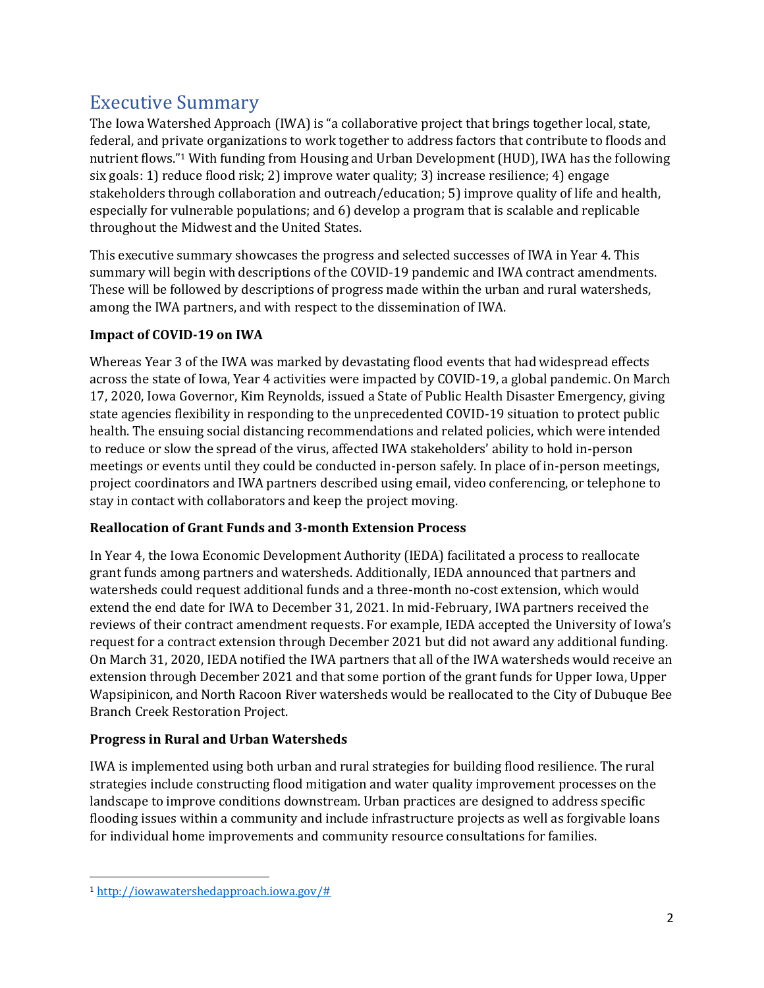# Executive Summary

The Iowa Watershed Approach (IWA) is "a collaborative project that brings together local, state, federal, and private organizations to work together to address factors that contribute to floods and nutrient flows."<sup>1</sup> With funding from Housing and Urban Development (HUD), IWA has the following six goals: 1) reduce flood risk; 2) improve water quality; 3) increase resilience; 4) engage stakeholders through collaboration and outreach/education; 5) improve quality of life and health, especially for vulnerable populations; and 6) develop a program that is scalable and replicable throughout the Midwest and the United States.

This executive summary showcases the progress and selected successes of IWA in Year 4. This summary will begin with descriptions of the COVID-19 pandemic and IWA contract amendments. These will be followed by descriptions of progress made within the urban and rural watersheds, among the IWA partners, and with respect to the dissemination of IWA.

# **Impact of COVID-19 on IWA**

Whereas Year 3 of the IWA was marked by devastating flood events that had widespread effects across the state of Iowa, Year 4 activities were impacted by COVID-19, a global pandemic. On March 17, 2020, Iowa Governor, Kim Reynolds, issued a State of Public Health Disaster Emergency, giving state agencies flexibility in responding to the unprecedented COVID-19 situation to protect public health. The ensuing social distancing recommendations and related policies, which were intended to reduce or slow the spread of the virus, affected IWA stakeholders' ability to hold in-person meetings or events until they could be conducted in-person safely. In place of in-person meetings, project coordinators and IWA partners described using email, video conferencing, or telephone to stay in contact with collaborators and keep the project moving.

# **Reallocation of Grant Funds and 3-month Extension Process**

In Year 4, the Iowa Economic Development Authority (IEDA) facilitated a process to reallocate grant funds among partners and watersheds. Additionally, IEDA announced that partners and watersheds could request additional funds and a three-month no-cost extension, which would extend the end date for IWA to December 31, 2021. In mid-February, IWA partners received the reviews of their contract amendment requests. For example, IEDA accepted the University of Iowa's request for a contract extension through December 2021 but did not award any additional funding. On March 31, 2020, IEDA notified the IWA partners that all of the IWA watersheds would receive an extension through December 2021 and that some portion of the grant funds for Upper Iowa, Upper Wapsipinicon, and North Racoon River watersheds would be reallocated to the City of Dubuque Bee Branch Creek Restoration Project.

# **Progress in Rural and Urban Watersheds**

IWA is implemented using both urban and rural strategies for building flood resilience. The rural strategies include constructing flood mitigation and water quality improvement processes on the landscape to improve conditions downstream. Urban practices are designed to address specific flooding issues within a community and include infrastructure projects as well as forgivable loans for individual home improvements and community resource consultations for families.

 $\overline{a}$ <sup>1</sup> [http://iowawatershedapproach.iowa.gov/#](http://iowawatershedapproach.iowa.gov/)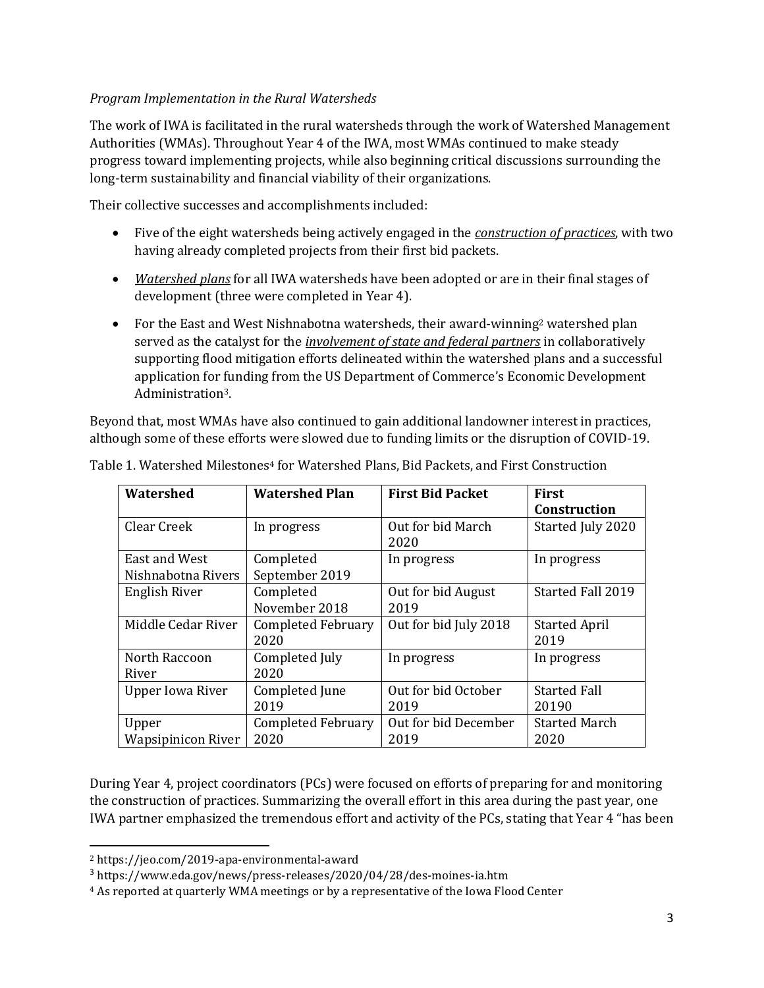#### *Program Implementation in the Rural Watersheds*

The work of IWA is facilitated in the rural watersheds through the work of Watershed Management Authorities (WMAs). Throughout Year 4 of the IWA, most WMAs continued to make steady progress toward implementing projects, while also beginning critical discussions surrounding the long-term sustainability and financial viability of their organizations.

Their collective successes and accomplishments included:

- Five of the eight watersheds being actively engaged in the *construction of practices*, with two having already completed projects from their first bid packets.
- *Watershed plans* for all IWA watersheds have been adopted or are in their final stages of development (three were completed in Year 4).
- For the East and West Nishnabotna watersheds, their award-winning<sup>2</sup> watershed plan served as the catalyst for the *involvement of state and federal partners* in collaboratively supporting flood mitigation efforts delineated within the watershed plans and a successful application for funding from the US Department of Commerce's Economic Development Administration3.

Beyond that, most WMAs have also continued to gain additional landowner interest in practices, although some of these efforts were slowed due to funding limits or the disruption of COVID-19.

| <b>Watershed</b>                    | <b>Watershed Plan</b>             | <b>First Bid Packet</b>      | <b>First</b><br>Construction |
|-------------------------------------|-----------------------------------|------------------------------|------------------------------|
| Clear Creek                         | In progress                       | Out for bid March<br>2020    | Started July 2020            |
| East and West<br>Nishnabotna Rivers | Completed<br>September 2019       | In progress                  | In progress                  |
| English River                       | Completed<br>November 2018        | Out for bid August<br>2019   | Started Fall 2019            |
| Middle Cedar River                  | <b>Completed February</b><br>2020 | Out for bid July 2018        | <b>Started April</b><br>2019 |
| North Raccoon<br>River              | Completed July<br>2020            | In progress                  | In progress                  |
| <b>Upper Iowa River</b>             | Completed June<br>2019            | Out for bid October<br>2019  | <b>Started Fall</b><br>20190 |
| Upper<br><b>Wapsipinicon River</b>  | <b>Completed February</b><br>2020 | Out for bid December<br>2019 | <b>Started March</b><br>2020 |

Table 1. Watershed Milestones<sup>4</sup> for Watershed Plans, Bid Packets, and First Construction

During Year 4, project coordinators (PCs) were focused on efforts of preparing for and monitoring the construction of practices. Summarizing the overall effort in this area during the past year, one IWA partner emphasized the tremendous effort and activity of the PCs, stating that Year 4 "has been

l

<sup>2</sup> https://jeo.com/2019-apa-environmental-award

<sup>3</sup> <https://www.eda.gov/news/press-releases/2020/04/28/des-moines-ia.htm>

<sup>4</sup> As reported at quarterly WMA meetings or by a representative of the Iowa Flood Center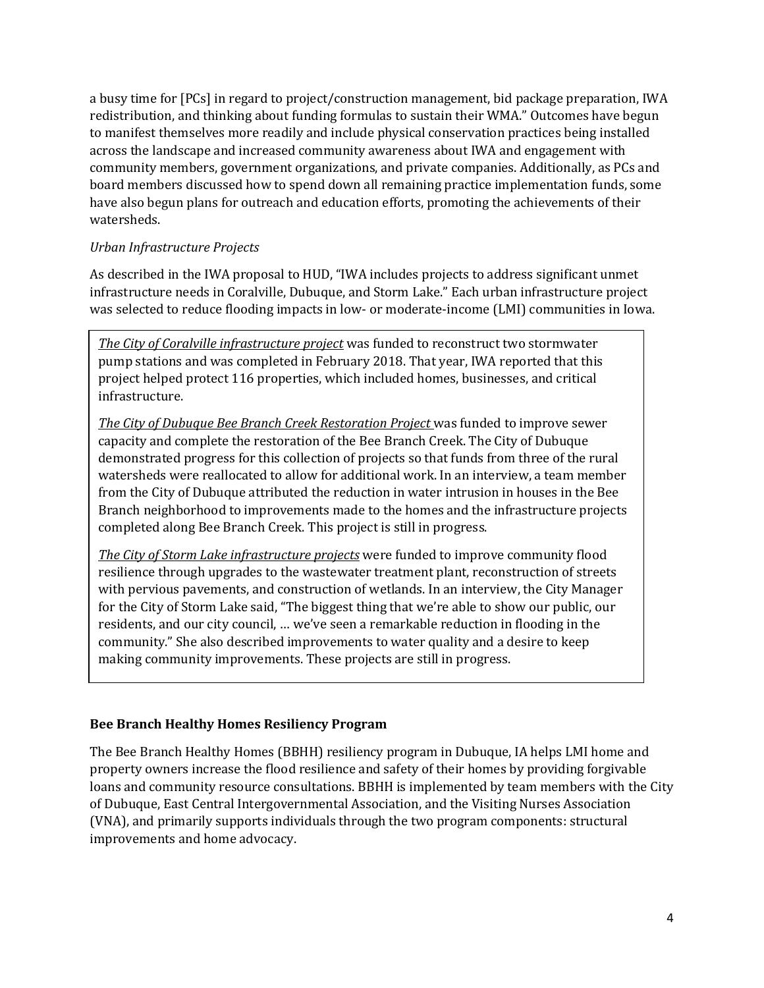a busy time for [PCs] in regard to project/construction management, bid package preparation, IWA redistribution, and thinking about funding formulas to sustain their WMA." Outcomes have begun to manifest themselves more readily and include physical conservation practices being installed across the landscape and increased community awareness about IWA and engagement with community members, government organizations, and private companies. Additionally, as PCs and board members discussed how to spend down all remaining practice implementation funds, some have also begun plans for outreach and education efforts, promoting the achievements of their watersheds.

#### *Urban Infrastructure Projects*

As described in the IWA proposal to HUD, "IWA includes projects to address significant unmet infrastructure needs in Coralville, Dubuque, and Storm Lake." Each urban infrastructure project was selected to reduce flooding impacts in low- or moderate-income (LMI) communities in Iowa.

*The City of Coralville infrastructure project* was funded to reconstruct two stormwater pump stations and was completed in February 2018. That year, IWA reported that this project helped protect 116 properties, which included homes, businesses, and critical infrastructure.

*The City of Dubuque Bee Branch Creek Restoration Project* was funded to improve sewer capacity and complete the restoration of the Bee Branch Creek. The City of Dubuque demonstrated progress for this collection of projects so that funds from three of the rural watersheds were reallocated to allow for additional work. In an interview, a team member from the City of Dubuque attributed the reduction in water intrusion in houses in the Bee Branch neighborhood to improvements made to the homes and the infrastructure projects completed along Bee Branch Creek. This project is still in progress.

*The City of Storm Lake infrastructure projects* were funded to improve community flood resilience through upgrades to the wastewater treatment plant, reconstruction of streets with pervious pavements, and construction of wetlands. In an interview, the City Manager for the City of Storm Lake said, "The biggest thing that we're able to show our public, our residents, and our city council, … we've seen a remarkable reduction in flooding in the community." She also described improvements to water quality and a desire to keep making community improvements. These projects are still in progress.

#### **Bee Branch Healthy Homes Resiliency Program**

The Bee Branch Healthy Homes (BBHH) resiliency program in Dubuque, IA helps LMI home and property owners increase the flood resilience and safety of their homes by providing forgivable loans and community resource consultations. BBHH is implemented by team members with the City of Dubuque, East Central Intergovernmental Association, and the Visiting Nurses Association (VNA), and primarily supports individuals through the two program components: structural improvements and home advocacy.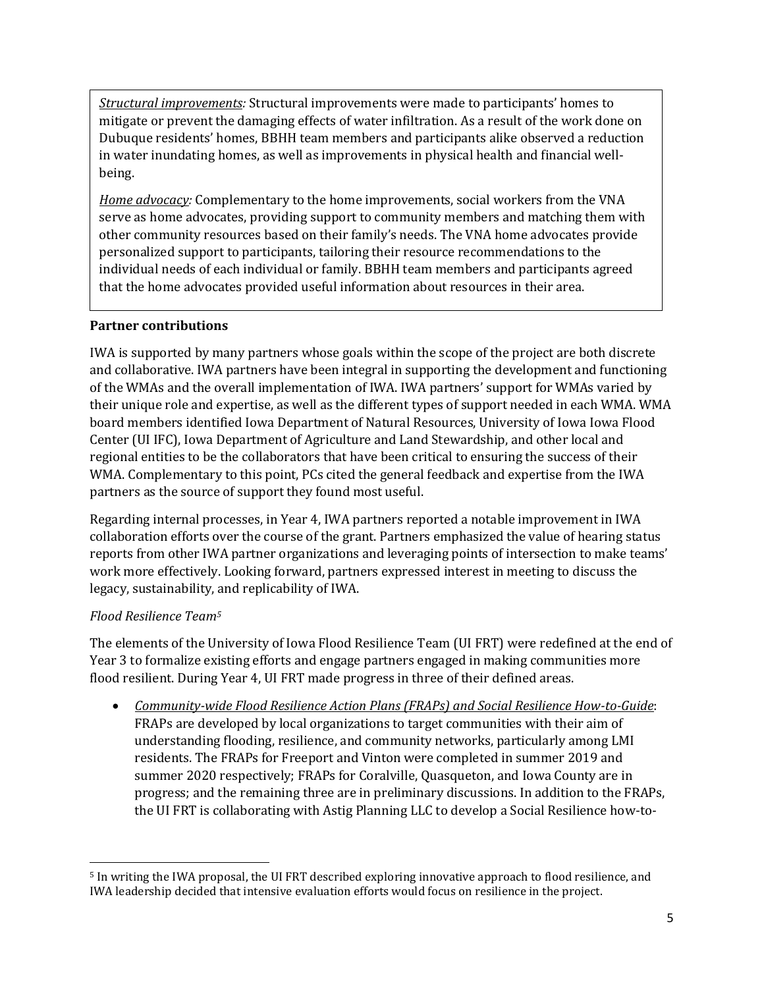*Structural improvements:* Structural improvements were made to participants' homes to mitigate or prevent the damaging effects of water infiltration. As a result of the work done on Dubuque residents' homes, BBHH team members and participants alike observed a reduction in water inundating homes, as well as improvements in physical health and financial wellbeing.

*Home advocacy:* Complementary to the home improvements, social workers from the VNA serve as home advocates, providing support to community members and matching them with other community resources based on their family's needs. The VNA home advocates provide personalized support to participants, tailoring their resource recommendations to the individual needs of each individual or family. BBHH team members and participants agreed that the home advocates provided useful information about resources in their area.

#### **Partner contributions**

IWA is supported by many partners whose goals within the scope of the project are both discrete and collaborative. IWA partners have been integral in supporting the development and functioning of the WMAs and the overall implementation of IWA. IWA partners' support for WMAs varied by their unique role and expertise, as well as the different types of support needed in each WMA. WMA board members identified Iowa Department of Natural Resources, University of Iowa Iowa Flood Center (UI IFC), Iowa Department of Agriculture and Land Stewardship, and other local and regional entities to be the collaborators that have been critical to ensuring the success of their WMA. Complementary to this point, PCs cited the general feedback and expertise from the IWA partners as the source of support they found most useful.

Regarding internal processes, in Year 4, IWA partners reported a notable improvement in IWA collaboration efforts over the course of the grant. Partners emphasized the value of hearing status reports from other IWA partner organizations and leveraging points of intersection to make teams' work more effectively. Looking forward, partners expressed interest in meeting to discuss the legacy, sustainability, and replicability of IWA.

#### *Flood Resilience Team<sup>5</sup>*

The elements of the University of Iowa Flood Resilience Team (UI FRT) were redefined at the end of Year 3 to formalize existing efforts and engage partners engaged in making communities more flood resilient. During Year 4, UI FRT made progress in three of their defined areas.

• *Community-wide Flood Resilience Action Plans (FRAPs) and Social Resilience How-to-Guide*: FRAPs are developed by local organizations to target communities with their aim of understanding flooding, resilience, and community networks, particularly among LMI residents. The FRAPs for Freeport and Vinton were completed in summer 2019 and summer 2020 respectively; FRAPs for Coralville, Quasqueton, and Iowa County are in progress; and the remaining three are in preliminary discussions. In addition to the FRAPs, the UI FRT is collaborating with Astig Planning LLC to develop a Social Resilience how-to-

 $\overline{a}$ <sup>5</sup> In writing the IWA proposal, the UI FRT described exploring innovative approach to flood resilience, and IWA leadership decided that intensive evaluation efforts would focus on resilience in the project.